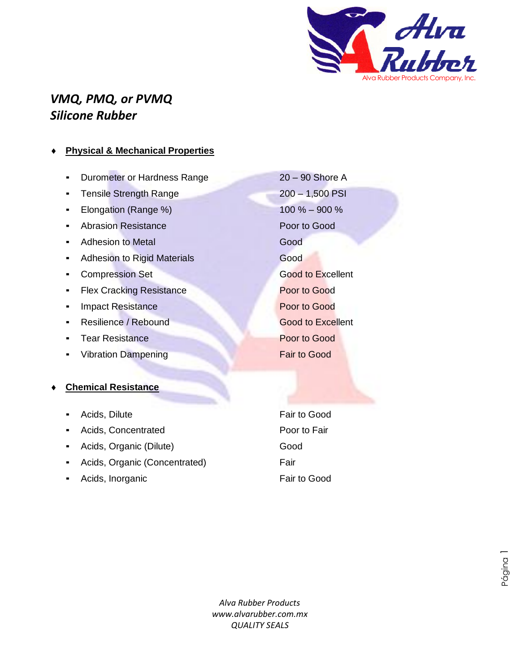

## *VMQ, PMQ, or PVMQ Silicone Rubber*

### **Physical & Mechanical Properties**

- **Durometer or Hardness Range 20 90 Shore A**
- Tensile Strength Range 200 1,500 PSI
- Elongation (Range %) 100 % 900 %
- Abrasion Resistance Poor to Good
- **Adhesion to Metal Good** Good
- **Adhesion to Rigid Materials Good Good**
- **EXCOMPTED SET GOOD CONFIDENTIAL COMPTERISTION SET GOOD CONFIDENTIAL CONFIDENTIAL CONFIDENTIAL CONFIDENTIAL CONFIDENTIAL CONFIDENTIAL CONFIDENTIAL CONFIDENTIAL CONFIDENTIAL CONFIDENTIAL CONFIDENTIAL CONFIDENTIAL CONFIDENTI**
- **Flex Cracking Resistance Poor to Good**
- **Impact Resistance Poor to Good**
- **Resilience / Rebound Good to Excellent**
- **Tear Resistance Poor to Good**
- Vibration Dampening Fair to Good

### **Chemical Resistance**

- Acids, Dilute **Fair to Good**
- Acids, Concentrated **Poor to Fair**
- **•** Acids, Organic (Dilute) **Good**
- **•** Acids, Organic (Concentrated) Fair
- Acids, Inorganic Fair to Good

*Alva Rubber Products www.alvarubber.com.mx QUALITY SEALS* bbe<br>Y S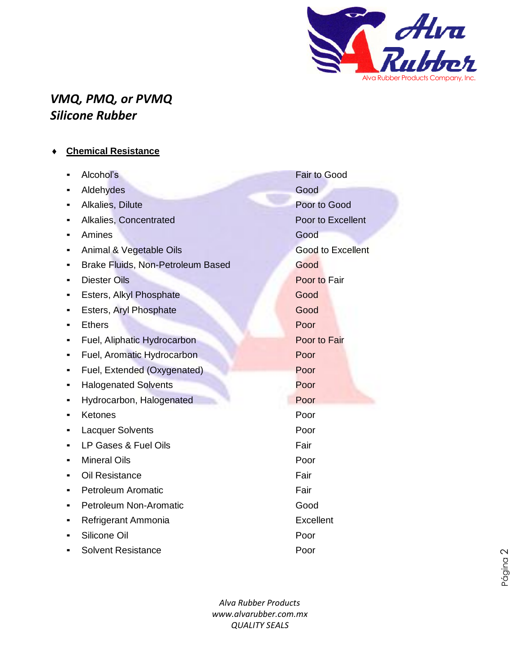

# *VMQ, PMQ, or PVMQ Silicone Rubber*

|  | <b>Chemical Resistance</b> |
|--|----------------------------|
|  |                            |

|   | Alcohol's                         | <b>Fair to Good</b>      |
|---|-----------------------------------|--------------------------|
|   | Aldehydes                         | Good                     |
|   | Alkalies, Dilute                  | Poor to Good             |
|   | Alkalies, Concentrated            | Poor to Excellent        |
|   | Amines                            | Good                     |
|   | Animal & Vegetable Oils           | <b>Good to Excellent</b> |
| ٠ | Brake Fluids, Non-Petroleum Based | Good                     |
|   | <b>Diester Oils</b>               | Poor to Fair             |
| ■ | Esters, Alkyl Phosphate           | Good                     |
|   | Esters, Aryl Phosphate            | Good                     |
|   | <b>Ethers</b>                     | Poor                     |
|   | Fuel, Aliphatic Hydrocarbon       | Poor to Fair             |
|   | Fuel, Aromatic Hydrocarbon        | Poor                     |
|   | Fuel, Extended (Oxygenated)       | Poor                     |
|   | <b>Halogenated Solvents</b>       | Poor                     |
|   | Hydrocarbon, Halogenated          | Poor                     |
|   | Ketones                           | Poor                     |
|   | <b>Lacquer Solvents</b>           | Poor                     |
|   | LP Gases & Fuel Oils              | Fair                     |
|   | <b>Mineral Oils</b>               | Poor                     |
|   | Oil Resistance                    | Fair                     |
|   | <b>Petroleum Aromatic</b>         | Fair                     |
|   | <b>Petroleum Non-Aromatic</b>     | Good                     |
|   | Refrigerant Ammonia               | Excellent                |
|   | Silicone Oil                      | Poor                     |
|   | <b>Solvent Resistance</b>         | Poor                     |

*Alva Rubber Products www.alvarubber.com.mx QUALITY SEALS*